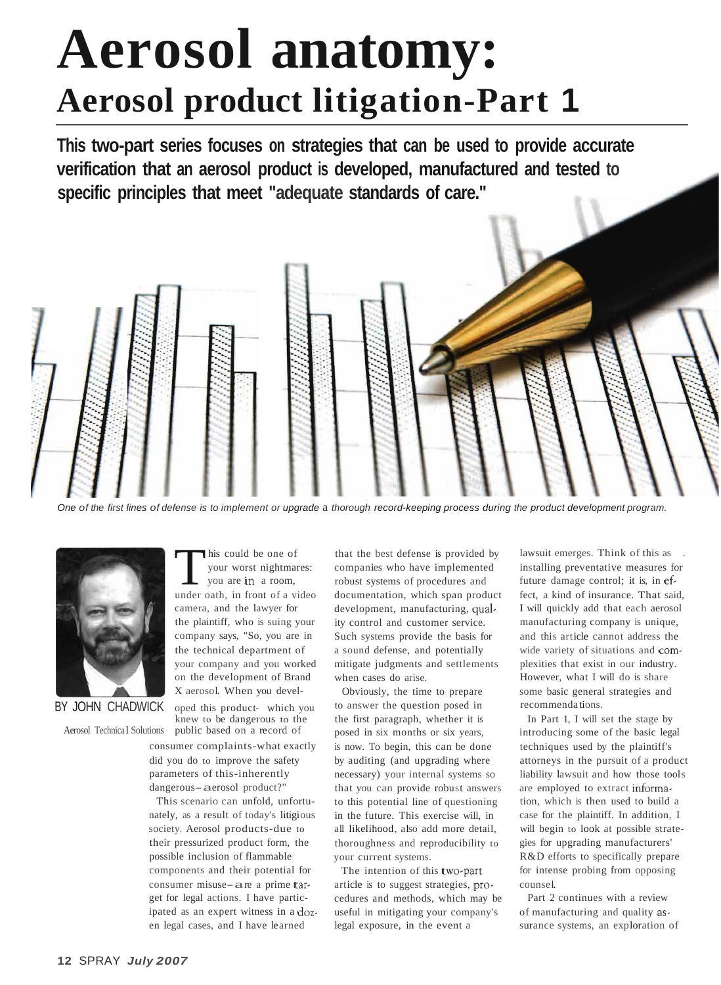# **Aerosol anatomy: Aerosol product litigation-Part 1**

**This two-part series focuses on strategies that can be used to provide accurate verification that an aerosol product is developed, manufactured and tested to specific principles that meet "adequate standards of care."** 



One of the first lines of defense is to implement or upgrade a thorough record-keeping process during the product development program.



This could be one of<br>your worst nightmar<br>you are in a room, your worst nightmares: you are in a room, under oath, in front of a video camera, and the lawyer for the plaintiff, who is suing your company says, "So, you are in the technical department of your company and you worked on the development of Brand X aerosol. When you devel-

BY JOHN CHADWICK oped this product- which you knew to be dangerous to the Aerosol Technical Solutions public based on a record of

> consumer complaints-what exactly did you do to improve the safety parameters of this-inherently dangerous-aerosol product?"

This scenario can unfold, unfortunately, as a result of today's litigious society. Aerosol products-due to their pressurized product form, the possible inclusion of flammable components and their potential for consumer misuse-are a prime target for legal actions. I have participated as an expert witness in a dozen legal cases, and I have learned

that the best defense is provided by companies who have implemented robust systems of procedures and documentation, which span product development, manufacturing, quality control and customer service. Such systems provide the basis for a sound defense, and potentially mitigate judgments and settlements when cases do arise.

Obviously, the time to prepare to answer the question posed in the first paragraph, whether it is posed in six months or six years, is now. To begin, this can be done by auditing (and upgrading where necessary) your internal systems so that you can provide robust answers to this potential line of questioning in the future. This exercise will, in all likelihood, also add more detail, thoroughness and reproducibility to your current systems.

The intention of this two-part article is to suggest strategies, procedures and methods, which may be useful in mitigating your company's legal exposure, in the event a

lawsuit emerges. Think of this as installing preventative measures for future damage control; it is, in effect, a kind of insurance. That said, I will quickly add that each aerosol manufacturing company is unique, and this article cannot address the wide variety of situations and complexities that exist in our industry. However, what I will do is share some basic general strategies and recommenda tions.

In Part 1, I will set the stage by introducing some of the basic legal techniques used by the plaintiff's attorneys in the pursuit of a product liability lawsuit and how those tools are employed to extract information, which is then used to build a case for the plaintiff. In addition, I will begin to look at possible strategies for upgrading manufacturers' R&D efforts to specifically prepare for intense probing from opposing counsel.

Part 2 continues with a review of manufacturing and quality assurance systems, an exploration of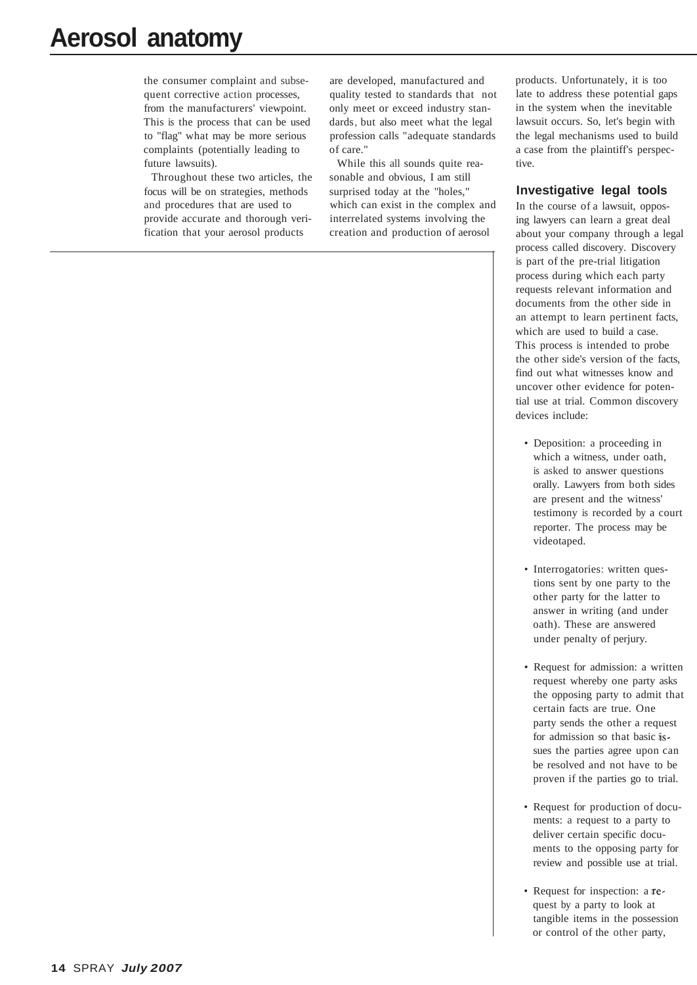## **Aerosol anatomy**

the consumer complaint and subsequent corrective action processes, from the manufacturers' viewpoint. This is the process that can be used to "flag" what may be more serious complaints (potentially leading to future lawsuits).

Throughout these two articles, the focus will be on strategies, methods and procedures that are used to provide accurate and thorough verification that your aerosol products

are developed, manufactured and quality tested to standards that not only meet or exceed industry standards, but also meet what the legal profession calls "adequate standards of care."

While this all sounds quite reasonable and obvious, I am still surprised today at the "holes," which can exist in the complex and interrelated systems involving the creation and production of aerosol

products. Unfortunately, it is too late to address these potential gaps in the system when the inevitable lawsuit occurs. So, let's begin with the legal mechanisms used to build a case from the plaintiff's perspective.

#### **Investigative legal tools**

In the course of a lawsuit, opposing lawyers can learn a great deal about your company through a legal process called discovery. Discovery is part of the pre-trial litigation process during which each party requests relevant information and documents from the other side in an attempt to learn pertinent facts, which are used to build a case. This process is intended to probe the other side's version of the facts, find out what witnesses know and uncover other evidence for potential use at trial. Common discovery devices include:

- Deposition: a proceeding in which a witness, under oath, is asked to answer questions orally. Lawyers from both sides are present and the witness' testimony is recorded by a court reporter. The process may be videotaped.
- Interrogatories: written questions sent by one party to the other party for the latter to answer in writing (and under oath). These are answered under penalty of perjury.
- Request for admission: a written request whereby one party asks the opposing party to admit that certain facts are true. One party sends the other a request for admission so that basic issues the parties agree upon can be resolved and not have to be proven if the parties go to trial.
- Request for production of documents: a request to a party to deliver certain specific documents to the opposing party for review and possible use at trial.
- Request for inspection: a request by a party to look at tangible items in the possession or control of the other party,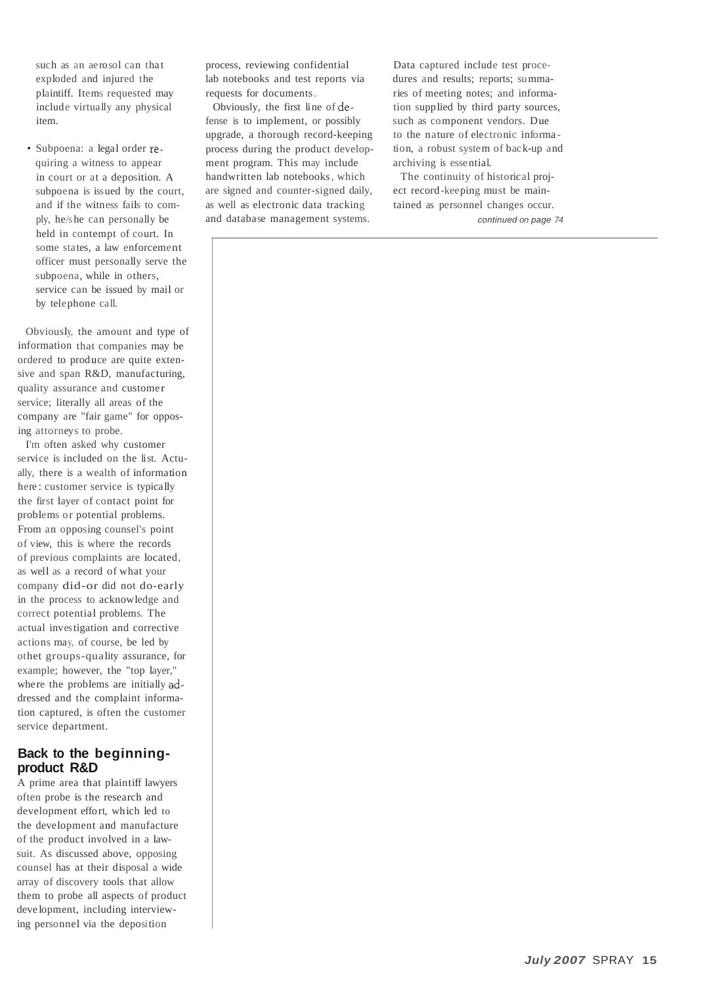such as an aerosol can that exploded and injured the plaintiff. Items requested may include virtually any physical item.

 • Subpoena: a legal order requiring a witness to appear in court or at a deposition. A subpoena is issued by the court, and if the witness fails to comply, he/she can personally be held in contempt of court. In some states, a law enforcement officer must personally serve the subpoena, while in others, service can be issued by mail or by telephone call.

Obviously, the amount and type of information that companies may be ordered to produce are quite extensive and span R&D, manufacturing, quality assurance and customer service; literally all areas of the company are "fair game" for opposing attorneys to probe.

I'm often asked why customer service is included on the list. Actually, there is a wealth of information here: customer service is typically the first layer of contact point for problems or potential problems. From an opposing counsel's point of view, this is where the records of previous complaints are located, as well as a record of what your company did-or did not do-early in the process to acknowledge and correct potential problems. The actual investigation and corrective actions may, of course, be led by othet groups-quality assurance, for example; however, the "top layer," where the problems are initially addressed and the complaint information captured, is often the customer service department.

#### **Back to the beginningproduct R&D**

A prime area that plaintiff lawyers often probe is the research and development effort, which led to the development and manufacture of the product involved in a lawsuit. As discussed above, opposing counsel has at their disposal a wide array of discovery tools that allow them to probe all aspects of product deve lopment, including interviewing personnel via the deposition

process, reviewing confidential lab notebooks and test reports via requests for documents.

Obviously, the first line of defense is to implement, or possibly upgrade, a thorough record-keeping process during the product development program. This may include handwritten lab notebooks, which are signed and counter-signed daily, as well as electronic data tracking and database management systems.

Data captured include test procedures and results; reports; summaries of meeting notes; and information supplied by third party sources, such as component vendors. Due to the nature of electronic information, a robust system of back-up and archiving is essential.

The continuity of historical project record-keeping must be maintained as personnel changes occur. continued on page 74